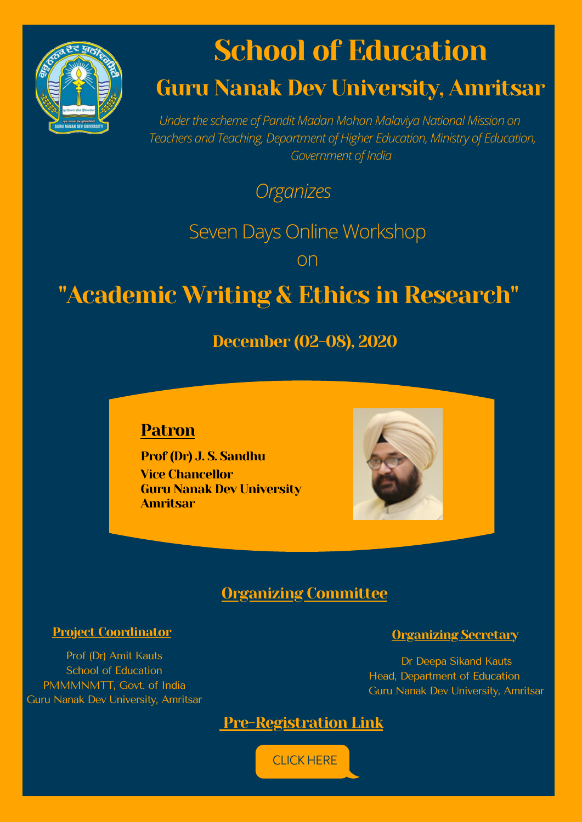

# **School of Education**

# Guru Nanak Dev University, Amritsar

*Underthe scheme of Pandit Madan Mohan Malaviya National Mission on Teachers and Teaching, Department of Higher Education, Ministry of Education, Government of India*

*Organizes*

Seven Days Online Workshop

on

# "Academic Writing & Ethics in Research"

December (02-08), 2020

### Patron

Prof (Dr) J. S. Sandhu Vice Chancellor Guru Nanak Dev University Amritsar

# Organizing Committee

### Project Coordinator Coordinator Coordinator Coordinator Coordinator Coordinator Coordinator Coordinator Coordinator

Prof (Dr) Amit Kauts School of Education PMMMNMTT, Govt. of India Guru Nanak Dev University, Amritsar

Dr Deepa Sikand Kauts Head, Department of Education Guru Nanak Dev University, Amritsar



[CLICKHERE](https://forms.gle/3CAvAK3wep5TLNXVA)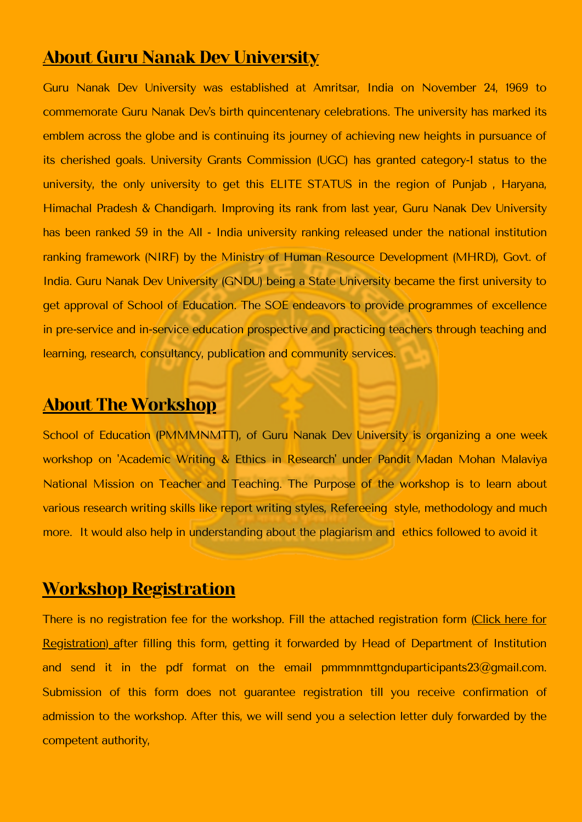## About Guru Nanak Dev University

Guru Nanak Dev University was established at Amritsar, India on November 24, 1969 to commemorate Guru Nanak Dev's birth quincentenary celebrations. The university has marked its emblem across the globe and is continuing its journey of achieving new heights in pursuance of its cherished goals. University Grants Commission (UGC) has granted category-1 status to the university, the only university to get this ELITE STATUS in the region of Punjab, Haryana, Himachal Pradesh & Chandigarh. Improving its rank from last year, Guru Nanak Dev University has been ranked 59 in the All - India university ranking released under the national institution ranking framework (NIRF) by the Ministry of Human Resource Development (MHRD), Govt. of India. Guru Nanak Dev University (GNDU) being a State University became the first university to get approval of School of Education. The SOE endeavors to provide programmes of excellence in pre-service and in-service education prospective and practicing teachers through teaching and learning, research, consultancy, publication and community services.

## About The Workshop

School of Education (PMMMNMTT), of Guru Nanak Dev University is organizing a one week workshop on 'Academic Writing & Ethics in Research' under Pandit Madan Mohan Malaviya National Mission on Teacher and Teaching. The Purpose of the workshop is to learn about various research writing skills like report writing styles, Refereeing style, methodology and much more. It would also help in understanding about the plagiarism and ethics followed to avoid it

## Workshop Registration

There is no registration fee for the workshop. Fill the attached registration form Click here for [Registration\)](http://online.gndu.ac.in/pdf/registrationformmodified.pdf) [a](https://forms.gle/w4BboLAZ4zXNdNE57)fter filling this form, getting it forwarded by Head of Department of Institution and send it in the pdf format on the email pmmmnmttgnduparticipants23@gmail.com. Submission of this form does not guarantee registration till you receive confirmation of admission to the workshop. After this, we will send you a selection letter duly forwarded by the competent authority,